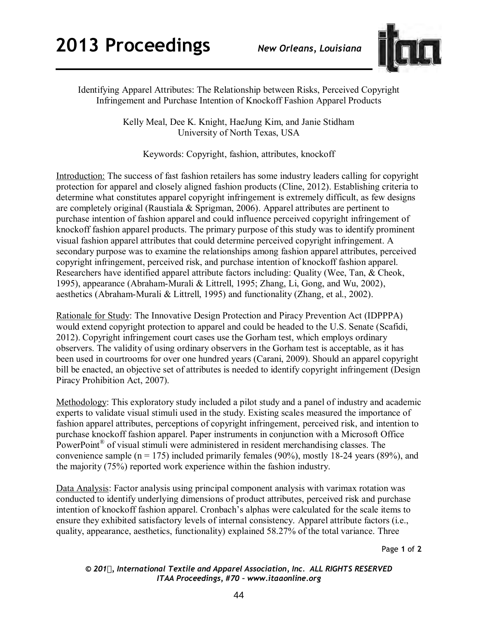

Identifying Apparel Attributes: The Relationship between Risks, Perceived Copyright Infringement and Purchase Intention of Knockoff Fashion Apparel Products

> Kelly Meal, Dee K. Knight, HaeJung Kim, and Janie Stidham University of North Texas, USA

Keywords: Copyright, fashion, attributes, knockoff

Introduction: The success of fast fashion retailers has some industry leaders calling for copyright protection for apparel and closely aligned fashion products (Cline, 2012). Establishing criteria to determine what constitutes apparel copyright infringement is extremely difficult, as few designs are completely original (Raustiala & Sprigman, 2006). Apparel attributes are pertinent to purchase intention of fashion apparel and could influence perceived copyright infringement of knockoff fashion apparel products. The primary purpose of this study was to identify prominent visual fashion apparel attributes that could determine perceived copyright infringement. A secondary purpose was to examine the relationships among fashion apparel attributes, perceived copyright infringement, perceived risk, and purchase intention of knockoff fashion apparel. Researchers have identified apparel attribute factors including: Quality (Wee, Tan, & Cheok, 1995), appearance (Abraham-Murali & Littrell, 1995; Zhang, Li, Gong, and Wu, 2002), aesthetics (Abraham-Murali & Littrell, 1995) and functionality (Zhang, et al., 2002).

Rationale for Study: The Innovative Design Protection and Piracy Prevention Act (IDPPPA) would extend copyright protection to apparel and could be headed to the U.S. Senate (Scafidi, 2012). Copyright infringement court cases use the Gorham test, which employs ordinary observers. The validity of using ordinary observers in the Gorham test is acceptable, as it has been used in courtrooms for over one hundred years (Carani, 2009). Should an apparel copyright bill be enacted, an objective set of attributes is needed to identify copyright infringement (Design Piracy Prohibition Act, 2007).

Methodology: This exploratory study included a pilot study and a panel of industry and academic experts to validate visual stimuli used in the study. Existing scales measured the importance of fashion apparel attributes, perceptions of copyright infringement, perceived risk, and intention to purchase knockoff fashion apparel. Paper instruments in conjunction with a Microsoft Office PowerPoint<sup>®</sup> of visual stimuli were administered in resident merchandising classes. The convenience sample ( $n = 175$ ) included primarily females (90%), mostly 18-24 years (89%), and the majority (75%) reported work experience within the fashion industry.

Data Analysis: Factor analysis using principal component analysis with varimax rotation was conducted to identify underlying dimensions of product attributes, perceived risk and purchase intention of knockoff fashion apparel. Cronbach's alphas were calculated for the scale items to ensure they exhibited satisfactory levels of internal consistency. Apparel attribute factors (i.e., quality, appearance, aesthetics, functionality) explained 58.27% of the total variance. Three

Page **1** of **2** 

*© 201, International Textile and Apparel Association, Inc. ALL RIGHTS RESERVED ITAA Proceedings, #70 – www.itaaonline.org*